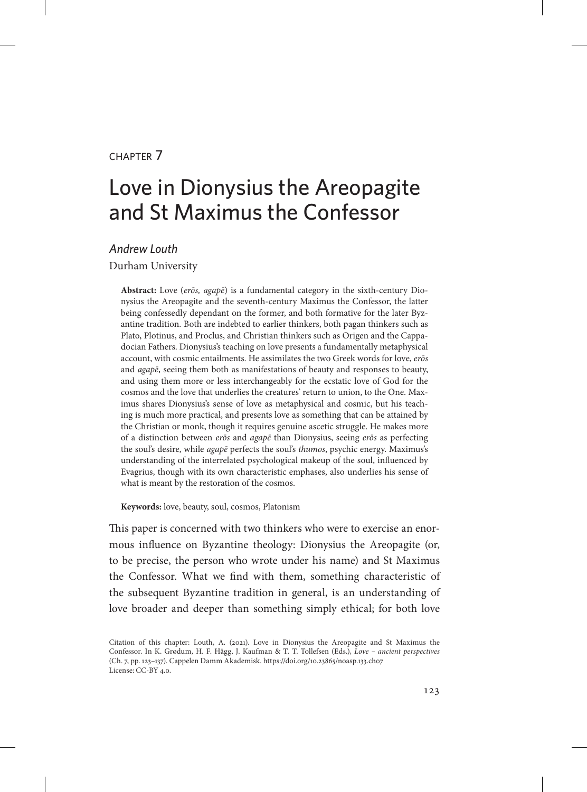### chapter 7

# Love in Dionysius the Areopagite and St Maximus the Confessor

#### *Andrew Louth*

#### Durham University

**Abstract:** Love (*erōs, agapē*) is a fundamental category in the sixth-century Dionysius the Areopagite and the seventh-century Maximus the Confessor, the latter being confessedly dependant on the former, and both formative for the later Byzantine tradition. Both are indebted to earlier thinkers, both pagan thinkers such as Plato, Plotinus, and Proclus, and Christian thinkers such as Origen and the Cappadocian Fathers. Dionysius's teaching on love presents a fundamentally metaphysical account, with cosmic entailments. He assimilates the two Greek words for love, *erōs* and *agapē*, seeing them both as manifestations of beauty and responses to beauty, and using them more or less interchangeably for the ecstatic love of God for the cosmos and the love that underlies the creatures' return to union, to the One. Maximus shares Dionysius's sense of love as metaphysical and cosmic, but his teaching is much more practical, and presents love as something that can be attained by the Christian or monk, though it requires genuine ascetic struggle. He makes more of a distinction between *erōs* and *agapē* than Dionysius, seeing *erōs* as perfecting the soul's desire, while *agapē* perfects the soul's *thumos*, psychic energy. Maximus's understanding of the interrelated psychological makeup of the soul, influenced by Evagrius, though with its own characteristic emphases, also underlies his sense of what is meant by the restoration of the cosmos.

**Keywords:** love, beauty, soul, cosmos, Platonism

This paper is concerned with two thinkers who were to exercise an enormous influence on Byzantine theology: Dionysius the Areopagite (or, to be precise, the person who wrote under his name) and St Maximus the Confessor. What we find with them, something characteristic of the subsequent Byzantine tradition in general, is an understanding of love broader and deeper than something simply ethical; for both love

Citation of this chapter: Louth, A. (2021). Love in Dionysius the Areopagite and St Maximus the Confessor. In K. Grødum, H. F. Hägg, J. Kaufman & T. T. Tollefsen (Eds.), *Love – ancient perspectives* (Ch. 7, pp. 123–137). Cappelen Damm Akademisk. https://doi.org/10.23865/noasp.133.ch07 License: CC-BY 4.0.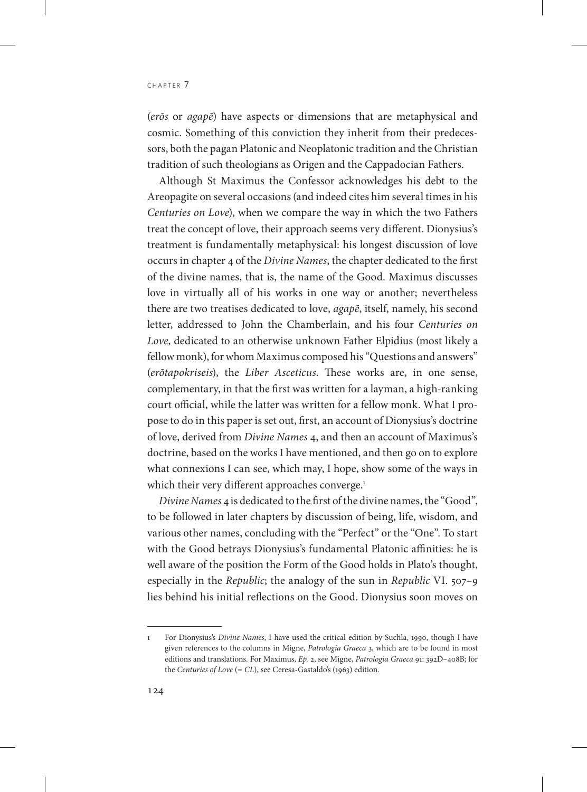(*erōs* or *agapē*) have aspects or dimensions that are metaphysical and cosmic. Something of this conviction they inherit from their predecessors, both the pagan Platonic and Neoplatonic tradition and the Christian tradition of such theologians as Origen and the Cappadocian Fathers.

Although St Maximus the Confessor acknowledges his debt to the Areopagite on several occasions (and indeed cites him several times in his *Centuries on Love*), when we compare the way in which the two Fathers treat the concept of love, their approach seems very different. Dionysius's treatment is fundamentally metaphysical: his longest discussion of love occurs in chapter 4 of the *Divine Names*, the chapter dedicated to the first of the divine names, that is, the name of the Good. Maximus discusses love in virtually all of his works in one way or another; nevertheless there are two treatises dedicated to love, *agapē*, itself, namely, his second letter, addressed to John the Chamberlain, and his four *Centuries on Love*, dedicated to an otherwise unknown Father Elpidius (most likely a fellow monk), for whom Maximus composed his "Questions and answers" (*erōtapokriseis*), the *Liber Asceticus*. These works are, in one sense, complementary, in that the first was written for a layman, a high-ranking court official, while the latter was written for a fellow monk. What I propose to do in this paper is set out, first, an account of Dionysius's doctrine of love, derived from *Divine Names* 4, and then an account of Maximus's doctrine, based on the works I have mentioned, and then go on to explore what connexions I can see, which may, I hope, show some of the ways in which their very different approaches converge.<sup>1</sup>

*Divine Names* 4 is dedicated to the first of the divine names, the "Good", to be followed in later chapters by discussion of being, life, wisdom, and various other names, concluding with the "Perfect" or the "One". To start with the Good betrays Dionysius's fundamental Platonic affinities: he is well aware of the position the Form of the Good holds in Plato's thought, especially in the *Republic*; the analogy of the sun in *Republic* VI. 507–9 lies behind his initial reflections on the Good. Dionysius soon moves on

<sup>1</sup> For Dionysius's *Divine Names*, I have used the critical edition by Suchla, 1990, though I have given references to the columns in Migne, *Patrologia Graeca* 3, which are to be found in most editions and translations. For Maximus, *Ep.* 2, see Migne, *Patrologia Graeca* 91: 392D–408B; for the *Centuries of Love* (= *CL*), see Ceresa-Gastaldo's (1963) edition.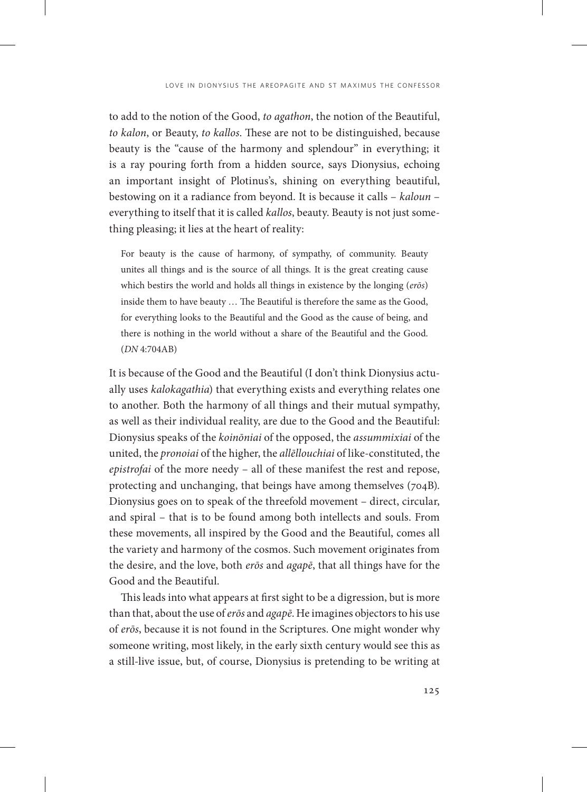to add to the notion of the Good, *to agathon*, the notion of the Beautiful, *to kalon*, or Beauty, *to kallos*. These are not to be distinguished, because beauty is the "cause of the harmony and splendour" in everything; it is a ray pouring forth from a hidden source, says Dionysius, echoing an important insight of Plotinus's, shining on everything beautiful, bestowing on it a radiance from beyond. It is because it calls – *kaloun* – everything to itself that it is called *kallos*, beauty. Beauty is not just something pleasing; it lies at the heart of reality:

For beauty is the cause of harmony, of sympathy, of community. Beauty unites all things and is the source of all things. It is the great creating cause which bestirs the world and holds all things in existence by the longing (*erōs*) inside them to have beauty … The Beautiful is therefore the same as the Good, for everything looks to the Beautiful and the Good as the cause of being, and there is nothing in the world without a share of the Beautiful and the Good. (*DN* 4:704AB)

It is because of the Good and the Beautiful (I don't think Dionysius actually uses *kalokagathia*) that everything exists and everything relates one to another. Both the harmony of all things and their mutual sympathy, as well as their individual reality, are due to the Good and the Beautiful: Dionysius speaks of the *koinōniai* of the opposed, the *assummixiai* of the united, the *pronoiai* of the higher, the *allēllouchiai* of like-constituted, the *epistrofai* of the more needy – all of these manifest the rest and repose, protecting and unchanging, that beings have among themselves (704B). Dionysius goes on to speak of the threefold movement – direct, circular, and spiral – that is to be found among both intellects and souls. From these movements, all inspired by the Good and the Beautiful, comes all the variety and harmony of the cosmos. Such movement originates from the desire, and the love, both *erōs* and *agapē*, that all things have for the Good and the Beautiful.

This leads into what appears at first sight to be a digression, but is more than that, about the use of *erōs* and *agapē*. He imagines objectors to his use of *erōs*, because it is not found in the Scriptures. One might wonder why someone writing, most likely, in the early sixth century would see this as a still-live issue, but, of course, Dionysius is pretending to be writing at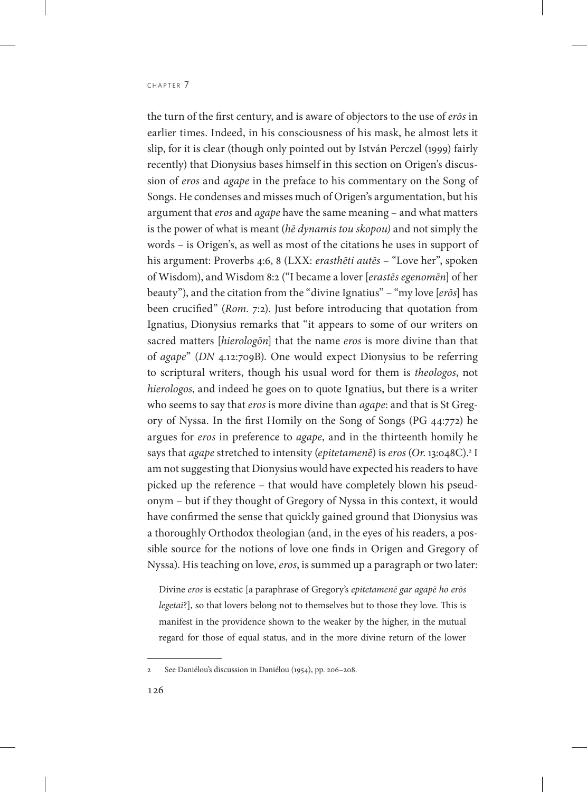the turn of the first century, and is aware of objectors to the use of *erōs* in earlier times. Indeed, in his consciousness of his mask, he almost lets it slip, for it is clear (though only pointed out by István Perczel (1999) fairly recently) that Dionysius bases himself in this section on Origen's discussion of *eros* and *agape* in the preface to his commentary on the Song of Songs. He condenses and misses much of Origen's argumentation, but his argument that *eros* and *agape* have the same meaning – and what matters is the power of what is meant (*hē dynamis tou skopou)* and not simply the words – is Origen's, as well as most of the citations he uses in support of his argument: Proverbs 4:6, 8 (LXX: *erasthēti autēs* – "Love her", spoken of Wisdom), and Wisdom 8:2 ("I became a lover [*erastēs egenomēn*] of her beauty"), and the citation from the "divine Ignatius" – "my love [*erōs*] has been crucified" (*Rom*. 7:2). Just before introducing that quotation from Ignatius, Dionysius remarks that "it appears to some of our writers on sacred matters [*hierologōn*] that the name *eros* is more divine than that of *agape*" (*DN* 4.12:709B). One would expect Dionysius to be referring to scriptural writers, though his usual word for them is *theologos*, not *hierologos*, and indeed he goes on to quote Ignatius, but there is a writer who seems to say that *eros* is more divine than *agape*: and that is St Gregory of Nyssa. In the first Homily on the Song of Songs (PG 44:772) he argues for *eros* in preference to *agape*, and in the thirteenth homily he says that *agape* stretched to intensity (*epitetamenē*) is *eros* (*Or*. 13:048C).2 I am not suggesting that Dionysius would have expected his readers to have picked up the reference – that would have completely blown his pseudonym – but if they thought of Gregory of Nyssa in this context, it would have confirmed the sense that quickly gained ground that Dionysius was a thoroughly Orthodox theologian (and, in the eyes of his readers, a possible source for the notions of love one finds in Origen and Gregory of Nyssa). His teaching on love, *eros*, is summed up a paragraph or two later:

Divine *eros* is ecstatic [a paraphrase of Gregory's *epitetamenē gar agapē ho erōs legetai*?], so that lovers belong not to themselves but to those they love. This is manifest in the providence shown to the weaker by the higher, in the mutual regard for those of equal status, and in the more divine return of the lower

<sup>2</sup> See Daniélou's discussion in Daniélou (1954), pp. 206–208.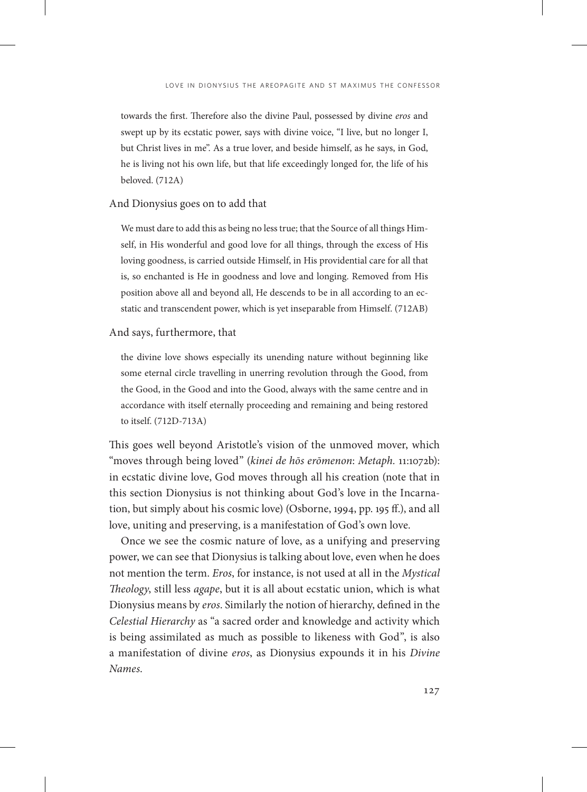towards the first. Therefore also the divine Paul, possessed by divine *eros* and swept up by its ecstatic power, says with divine voice, "I live, but no longer I, but Christ lives in me". As a true lover, and beside himself, as he says, in God, he is living not his own life, but that life exceedingly longed for, the life of his beloved. (712A)

#### And Dionysius goes on to add that

We must dare to add this as being no less true; that the Source of all things Himself, in His wonderful and good love for all things, through the excess of His loving goodness, is carried outside Himself, in His providential care for all that is, so enchanted is He in goodness and love and longing. Removed from His position above all and beyond all, He descends to be in all according to an ecstatic and transcendent power, which is yet inseparable from Himself. (712AB)

And says, furthermore, that

the divine love shows especially its unending nature without beginning like some eternal circle travelling in unerring revolution through the Good, from the Good, in the Good and into the Good, always with the same centre and in accordance with itself eternally proceeding and remaining and being restored to itself. (712D-713A)

This goes well beyond Aristotle's vision of the unmoved mover, which "moves through being loved" (*kinei de hōs erōmenon*: *Metaph.* 11:1072b): in ecstatic divine love, God moves through all his creation (note that in this section Dionysius is not thinking about God's love in the Incarnation, but simply about his cosmic love) (Osborne, 1994, pp. 195 ff.), and all love, uniting and preserving, is a manifestation of God's own love.

Once we see the cosmic nature of love, as a unifying and preserving power, we can see that Dionysius is talking about love, even when he does not mention the term. *Eros*, for instance, is not used at all in the *Mystical Theology*, still less *agape*, but it is all about ecstatic union, which is what Dionysius means by *eros*. Similarly the notion of hierarchy, defined in the *Celestial Hierarchy* as "a sacred order and knowledge and activity which is being assimilated as much as possible to likeness with God", is also a manifestation of divine *eros*, as Dionysius expounds it in his *Divine Names*.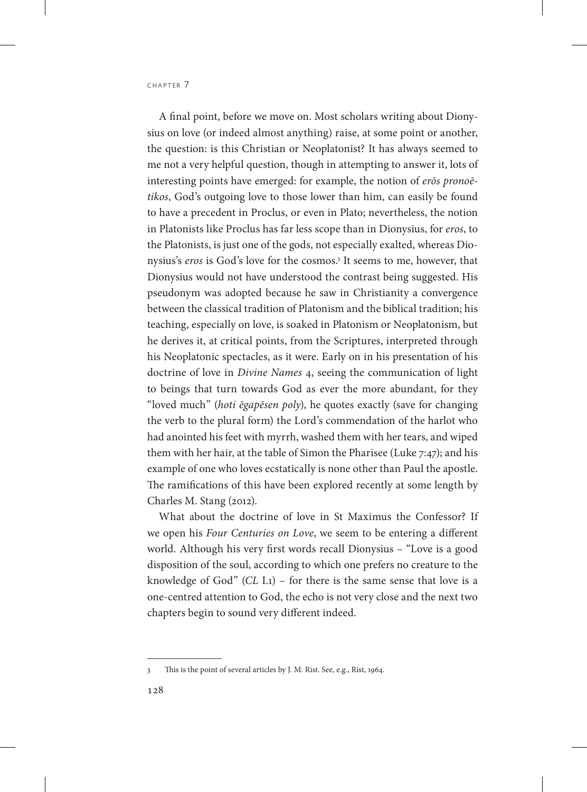A final point, before we move on. Most scholars writing about Dionysius on love (or indeed almost anything) raise, at some point or another, the question: is this Christian or Neoplatonist? It has always seemed to me not a very helpful question, though in attempting to answer it, lots of interesting points have emerged: for example, the notion of *erōs pronoētikos*, God's outgoing love to those lower than him, can easily be found to have a precedent in Proclus, or even in Plato; nevertheless, the notion in Platonists like Proclus has far less scope than in Dionysius, for *eros*, to the Platonists, is just one of the gods, not especially exalted, whereas Dionysius's *eros* is God's love for the cosmos.3 It seems to me, however, that Dionysius would not have understood the contrast being suggested. His pseudonym was adopted because he saw in Christianity a convergence between the classical tradition of Platonism and the biblical tradition; his teaching, especially on love, is soaked in Platonism or Neoplatonism, but he derives it, at critical points, from the Scriptures, interpreted through his Neoplatonic spectacles, as it were. Early on in his presentation of his doctrine of love in *Divine Names* 4, seeing the communication of light to beings that turn towards God as ever the more abundant, for they "loved much" (*hoti ēgapēsen poly*), he quotes exactly (save for changing the verb to the plural form) the Lord's commendation of the harlot who had anointed his feet with myrrh, washed them with her tears, and wiped them with her hair, at the table of Simon the Pharisee (Luke 7:47); and his example of one who loves ecstatically is none other than Paul the apostle. The ramifications of this have been explored recently at some length by Charles M. Stang (2012).

What about the doctrine of love in St Maximus the Confessor? If we open his *Four Centuries on Love*, we seem to be entering a different world. Although his very first words recall Dionysius – "Love is a good disposition of the soul, according to which one prefers no creature to the knowledge of God" (*CL* I.1) – for there is the same sense that love is a one-centred attention to God, the echo is not very close and the next two chapters begin to sound very different indeed.

<sup>3</sup> This is the point of several articles by J. M. Rist. See, e.g., Rist, 1964.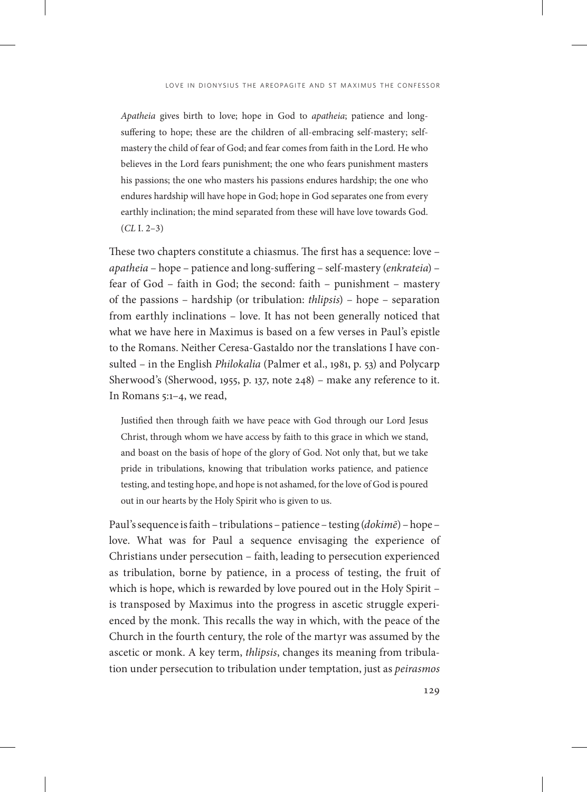*Apatheia* gives birth to love; hope in God to *apatheia*; patience and longsuffering to hope; these are the children of all-embracing self-mastery; selfmastery the child of fear of God; and fear comes from faith in the Lord. He who believes in the Lord fears punishment; the one who fears punishment masters his passions; the one who masters his passions endures hardship; the one who endures hardship will have hope in God; hope in God separates one from every earthly inclination; the mind separated from these will have love towards God. (*CL* I. 2–3)

These two chapters constitute a chiasmus. The first has a sequence: love – *apatheia* – hope – patience and long-suffering – self-mastery (*enkrateia*) – fear of God – faith in God; the second: faith – punishment – mastery of the passions – hardship (or tribulation: *thlipsis*) – hope – separation from earthly inclinations – love. It has not been generally noticed that what we have here in Maximus is based on a few verses in Paul's epistle to the Romans. Neither Ceresa-Gastaldo nor the translations I have consulted – in the English *Philokalia* (Palmer et al., 1981, p. 53) and Polycarp Sherwood's (Sherwood, 1955, p. 137, note 248) – make any reference to it. In Romans 5:1–4, we read,

Justified then through faith we have peace with God through our Lord Jesus Christ, through whom we have access by faith to this grace in which we stand, and boast on the basis of hope of the glory of God. Not only that, but we take pride in tribulations, knowing that tribulation works patience, and patience testing, and testing hope, and hope is not ashamed, for the love of God is poured out in our hearts by the Holy Spirit who is given to us.

Paul's sequence is faith – tribulations – patience – testing (*dokimē*) – hope – love. What was for Paul a sequence envisaging the experience of Christians under persecution – faith, leading to persecution experienced as tribulation, borne by patience, in a process of testing, the fruit of which is hope, which is rewarded by love poured out in the Holy Spirit – is transposed by Maximus into the progress in ascetic struggle experienced by the monk. This recalls the way in which, with the peace of the Church in the fourth century, the role of the martyr was assumed by the ascetic or monk. A key term, *thlipsis*, changes its meaning from tribulation under persecution to tribulation under temptation, just as *peirasmos*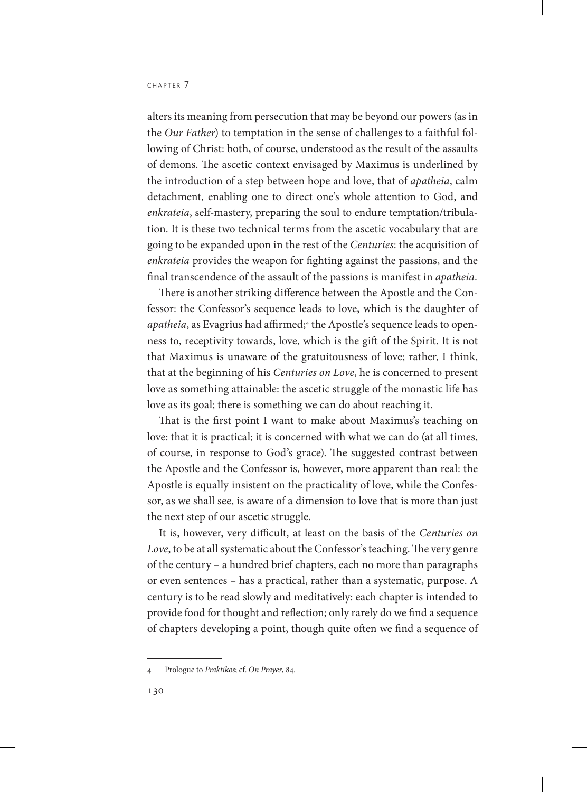alters its meaning from persecution that may be beyond our powers (as in the *Our Father*) to temptation in the sense of challenges to a faithful following of Christ: both, of course, understood as the result of the assaults of demons. The ascetic context envisaged by Maximus is underlined by the introduction of a step between hope and love, that of *apatheia*, calm detachment, enabling one to direct one's whole attention to God, and *enkrateia*, self-mastery, preparing the soul to endure temptation/tribulation. It is these two technical terms from the ascetic vocabulary that are going to be expanded upon in the rest of the *Centuries*: the acquisition of *enkrateia* provides the weapon for fighting against the passions, and the final transcendence of the assault of the passions is manifest in *apatheia*.

There is another striking difference between the Apostle and the Confessor: the Confessor's sequence leads to love, which is the daughter of *apatheia*, as Evagrius had affirmed;<sup>4</sup> the Apostle's sequence leads to openness to, receptivity towards, love, which is the gift of the Spirit. It is not that Maximus is unaware of the gratuitousness of love; rather, I think, that at the beginning of his *Centuries on Love*, he is concerned to present love as something attainable: the ascetic struggle of the monastic life has love as its goal; there is something we can do about reaching it.

That is the first point I want to make about Maximus's teaching on love: that it is practical; it is concerned with what we can do (at all times, of course, in response to God's grace). The suggested contrast between the Apostle and the Confessor is, however, more apparent than real: the Apostle is equally insistent on the practicality of love, while the Confessor, as we shall see, is aware of a dimension to love that is more than just the next step of our ascetic struggle.

It is, however, very difficult, at least on the basis of the *Centuries on Love*, to be at all systematic about the Confessor's teaching. The very genre of the century – a hundred brief chapters, each no more than paragraphs or even sentences – has a practical, rather than a systematic, purpose. A century is to be read slowly and meditatively: each chapter is intended to provide food for thought and reflection; only rarely do we find a sequence of chapters developing a point, though quite often we find a sequence of

<sup>4</sup> Prologue to *Praktikos*; cf. *On Prayer*, 84.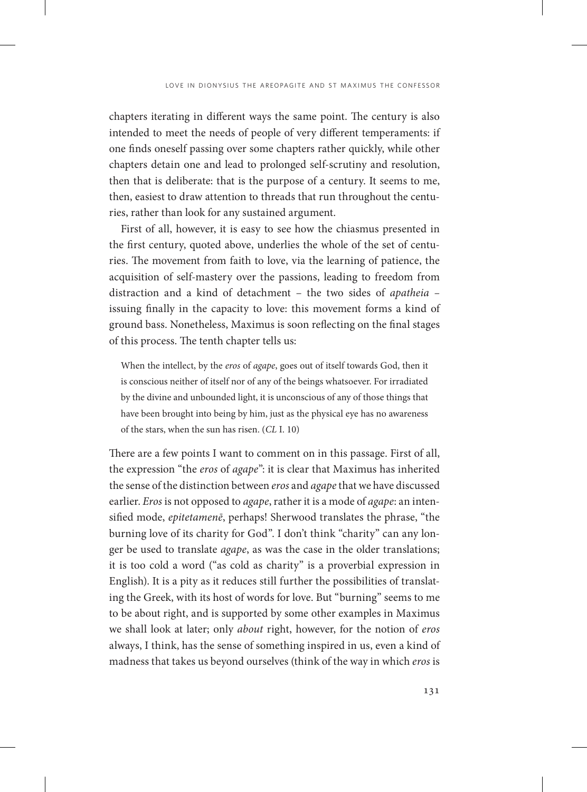chapters iterating in different ways the same point. The century is also intended to meet the needs of people of very different temperaments: if one finds oneself passing over some chapters rather quickly, while other chapters detain one and lead to prolonged self-scrutiny and resolution, then that is deliberate: that is the purpose of a century. It seems to me, then, easiest to draw attention to threads that run throughout the centuries, rather than look for any sustained argument.

First of all, however, it is easy to see how the chiasmus presented in the first century, quoted above, underlies the whole of the set of centuries. The movement from faith to love, via the learning of patience, the acquisition of self-mastery over the passions, leading to freedom from distraction and a kind of detachment – the two sides of *apatheia –*  issuing finally in the capacity to love: this movement forms a kind of ground bass. Nonetheless, Maximus is soon reflecting on the final stages of this process. The tenth chapter tells us:

When the intellect, by the *eros* of *agape*, goes out of itself towards God, then it is conscious neither of itself nor of any of the beings whatsoever. For irradiated by the divine and unbounded light, it is unconscious of any of those things that have been brought into being by him, just as the physical eye has no awareness of the stars, when the sun has risen. (*CL* I. 10)

There are a few points I want to comment on in this passage. First of all, the expression "the *eros* of *agape*": it is clear that Maximus has inherited the sense of the distinction between *eros* and *agape* that we have discussed earlier. *Eros* is not opposed to *agape*, rather it is a mode of *agape*: an intensified mode, *epitetamenē*, perhaps! Sherwood translates the phrase, "the burning love of its charity for God". I don't think "charity" can any longer be used to translate *agape*, as was the case in the older translations; it is too cold a word ("as cold as charity" is a proverbial expression in English). It is a pity as it reduces still further the possibilities of translating the Greek, with its host of words for love. But "burning" seems to me to be about right, and is supported by some other examples in Maximus we shall look at later; only *about* right, however, for the notion of *eros* always, I think, has the sense of something inspired in us, even a kind of madness that takes us beyond ourselves (think of the way in which *eros* is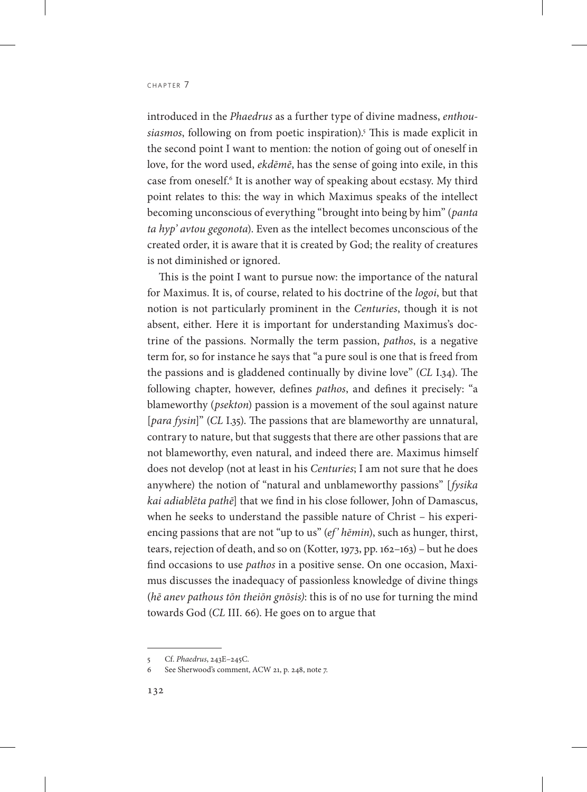#### CHAPTER 7

introduced in the *Phaedrus* as a further type of divine madness, *enthousiasmos*, following on from poetic inspiration).5 This is made explicit in the second point I want to mention: the notion of going out of oneself in love, for the word used, *ekdēmē*, has the sense of going into exile, in this case from oneself.<sup>6</sup> It is another way of speaking about ecstasy. My third point relates to this: the way in which Maximus speaks of the intellect becoming unconscious of everything "brought into being by him" (*panta ta hyp' avtou gegonota*). Even as the intellect becomes unconscious of the created order, it is aware that it is created by God; the reality of creatures is not diminished or ignored.

This is the point I want to pursue now: the importance of the natural for Maximus. It is, of course, related to his doctrine of the *logoi*, but that notion is not particularly prominent in the *Centuries*, though it is not absent, either. Here it is important for understanding Maximus's doctrine of the passions. Normally the term passion, *pathos*, is a negative term for, so for instance he says that "a pure soul is one that is freed from the passions and is gladdened continually by divine love" (*CL* I.34). The following chapter, however, defines *pathos*, and defines it precisely: "a blameworthy (*psekton*) passion is a movement of the soul against nature [*para fysin*]" (*CL* I.35). The passions that are blameworthy are unnatural, contrary to nature, but that suggests that there are other passions that are not blameworthy, even natural, and indeed there are. Maximus himself does not develop (not at least in his *Centuries*; I am not sure that he does anywhere) the notion of "natural and unblameworthy passions" [*fysika kai adiablēta pathē*] that we find in his close follower, John of Damascus, when he seeks to understand the passible nature of Christ – his experiencing passions that are not "up to us" (*ef' hēmin*), such as hunger, thirst, tears, rejection of death, and so on (Kotter, 1973, pp. 162–163) – but he does find occasions to use *pathos* in a positive sense. On one occasion, Maximus discusses the inadequacy of passionless knowledge of divine things (*hē anev pathous tōn theiōn gnōsis)*: this is of no use for turning the mind towards God (*CL* III. 66). He goes on to argue that

<sup>5</sup> Cf. *Phaedrus*, 243E–245C.

<sup>6</sup> See Sherwood's comment, ACW 21, p. 248, note 7.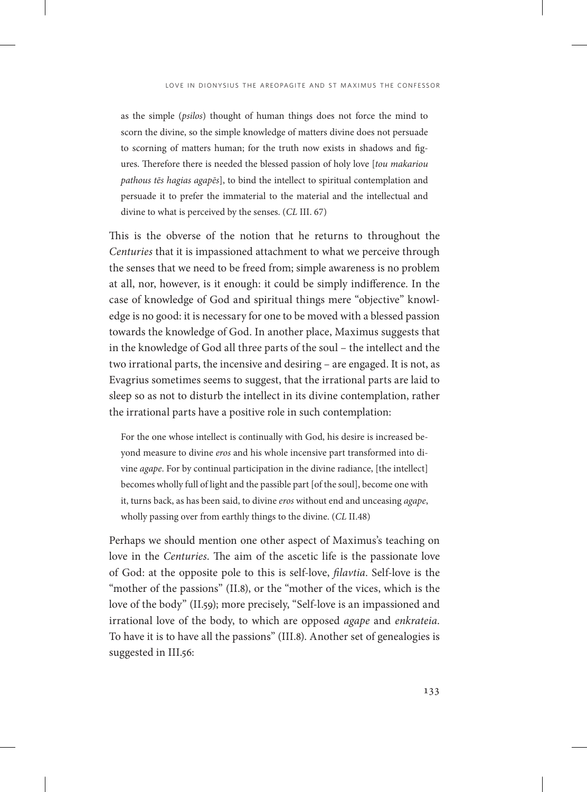as the simple (*psilos*) thought of human things does not force the mind to scorn the divine, so the simple knowledge of matters divine does not persuade to scorning of matters human; for the truth now exists in shadows and figures. Therefore there is needed the blessed passion of holy love [*tou makariou pathous tēs hagias agapēs*], to bind the intellect to spiritual contemplation and persuade it to prefer the immaterial to the material and the intellectual and divine to what is perceived by the senses. (*CL* III. 67)

This is the obverse of the notion that he returns to throughout the *Centuries* that it is impassioned attachment to what we perceive through the senses that we need to be freed from; simple awareness is no problem at all, nor, however, is it enough: it could be simply indifference. In the case of knowledge of God and spiritual things mere "objective" knowledge is no good: it is necessary for one to be moved with a blessed passion towards the knowledge of God. In another place, Maximus suggests that in the knowledge of God all three parts of the soul – the intellect and the two irrational parts, the incensive and desiring – are engaged. It is not, as Evagrius sometimes seems to suggest, that the irrational parts are laid to sleep so as not to disturb the intellect in its divine contemplation, rather the irrational parts have a positive role in such contemplation:

For the one whose intellect is continually with God, his desire is increased beyond measure to divine *eros* and his whole incensive part transformed into divine *agape*. For by continual participation in the divine radiance, [the intellect] becomes wholly full of light and the passible part [of the soul], become one with it, turns back, as has been said, to divine *eros* without end and unceasing *agape*, wholly passing over from earthly things to the divine. (*CL* II.48)

Perhaps we should mention one other aspect of Maximus's teaching on love in the *Centuries*. The aim of the ascetic life is the passionate love of God: at the opposite pole to this is self-love, *filavtia*. Self-love is the "mother of the passions" (II.8), or the "mother of the vices, which is the love of the body" (II.59); more precisely, "Self-love is an impassioned and irrational love of the body, to which are opposed *agape* and *enkrateia*. To have it is to have all the passions" (III.8). Another set of genealogies is suggested in III.56: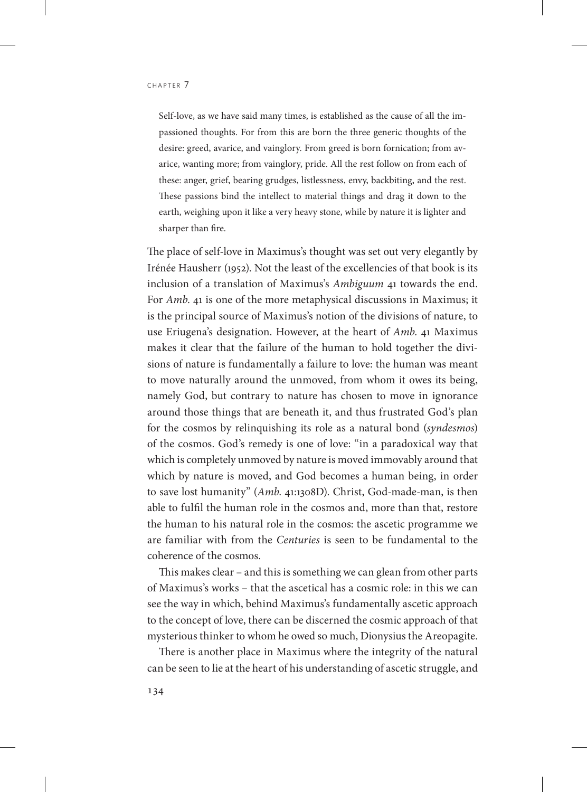Self-love, as we have said many times, is established as the cause of all the impassioned thoughts. For from this are born the three generic thoughts of the desire: greed, avarice, and vainglory. From greed is born fornication; from avarice, wanting more; from vainglory, pride. All the rest follow on from each of these: anger, grief, bearing grudges, listlessness, envy, backbiting, and the rest. These passions bind the intellect to material things and drag it down to the earth, weighing upon it like a very heavy stone, while by nature it is lighter and sharper than fire.

The place of self-love in Maximus's thought was set out very elegantly by Irénée Hausherr (1952). Not the least of the excellencies of that book is its inclusion of a translation of Maximus's *Ambiguum* 41 towards the end. For *Amb*. 41 is one of the more metaphysical discussions in Maximus; it is the principal source of Maximus's notion of the divisions of nature, to use Eriugena's designation. However, at the heart of *Amb*. 41 Maximus makes it clear that the failure of the human to hold together the divisions of nature is fundamentally a failure to love: the human was meant to move naturally around the unmoved, from whom it owes its being, namely God, but contrary to nature has chosen to move in ignorance around those things that are beneath it, and thus frustrated God's plan for the cosmos by relinquishing its role as a natural bond (*syndesmos*) of the cosmos. God's remedy is one of love: "in a paradoxical way that which is completely unmoved by nature is moved immovably around that which by nature is moved, and God becomes a human being, in order to save lost humanity" (*Amb*. 41:1308D). Christ, God-made-man, is then able to fulfil the human role in the cosmos and, more than that, restore the human to his natural role in the cosmos: the ascetic programme we are familiar with from the *Centuries* is seen to be fundamental to the coherence of the cosmos.

This makes clear – and this is something we can glean from other parts of Maximus's works – that the ascetical has a cosmic role: in this we can see the way in which, behind Maximus's fundamentally ascetic approach to the concept of love, there can be discerned the cosmic approach of that mysterious thinker to whom he owed so much, Dionysius the Areopagite.

There is another place in Maximus where the integrity of the natural can be seen to lie at the heart of his understanding of ascetic struggle, and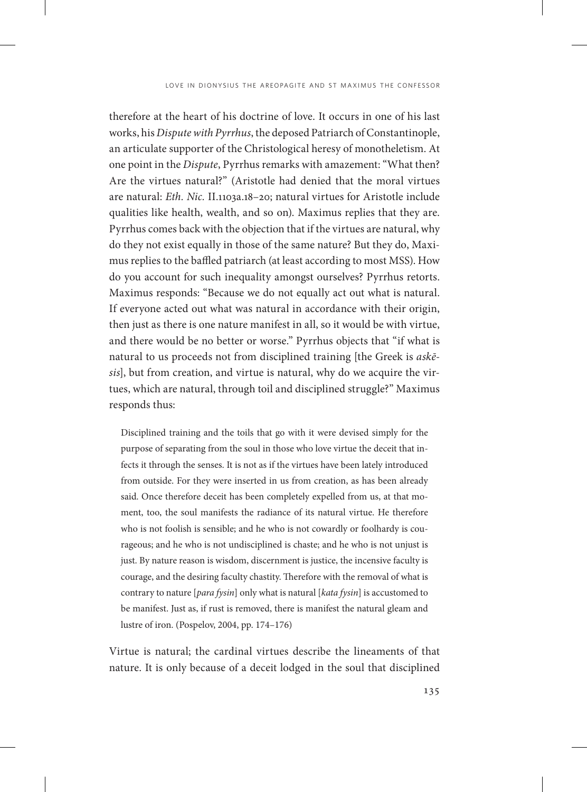therefore at the heart of his doctrine of love. It occurs in one of his last works, his *Dispute with Pyrrhus*, the deposed Patriarch of Constantinople, an articulate supporter of the Christological heresy of monotheletism. At one point in the *Dispute*, Pyrrhus remarks with amazement: "What then? Are the virtues natural?" (Aristotle had denied that the moral virtues are natural: *Eth. Nic.* II.1103a.18–20; natural virtues for Aristotle include qualities like health, wealth, and so on). Maximus replies that they are. Pyrrhus comes back with the objection that if the virtues are natural, why do they not exist equally in those of the same nature? But they do, Maximus replies to the baffled patriarch (at least according to most MSS). How do you account for such inequality amongst ourselves? Pyrrhus retorts. Maximus responds: "Because we do not equally act out what is natural. If everyone acted out what was natural in accordance with their origin, then just as there is one nature manifest in all, so it would be with virtue, and there would be no better or worse." Pyrrhus objects that "if what is natural to us proceeds not from disciplined training [the Greek is *askēsis*], but from creation, and virtue is natural, why do we acquire the virtues, which are natural, through toil and disciplined struggle?" Maximus responds thus:

Disciplined training and the toils that go with it were devised simply for the purpose of separating from the soul in those who love virtue the deceit that infects it through the senses. It is not as if the virtues have been lately introduced from outside. For they were inserted in us from creation, as has been already said. Once therefore deceit has been completely expelled from us, at that moment, too, the soul manifests the radiance of its natural virtue. He therefore who is not foolish is sensible; and he who is not cowardly or foolhardy is courageous; and he who is not undisciplined is chaste; and he who is not unjust is just. By nature reason is wisdom, discernment is justice, the incensive faculty is courage, and the desiring faculty chastity. Therefore with the removal of what is contrary to nature [*para fysin*] only what is natural [*kata fysin*] is accustomed to be manifest. Just as, if rust is removed, there is manifest the natural gleam and lustre of iron. (Pospelov, 2004, pp. 174–176)

Virtue is natural; the cardinal virtues describe the lineaments of that nature. It is only because of a deceit lodged in the soul that disciplined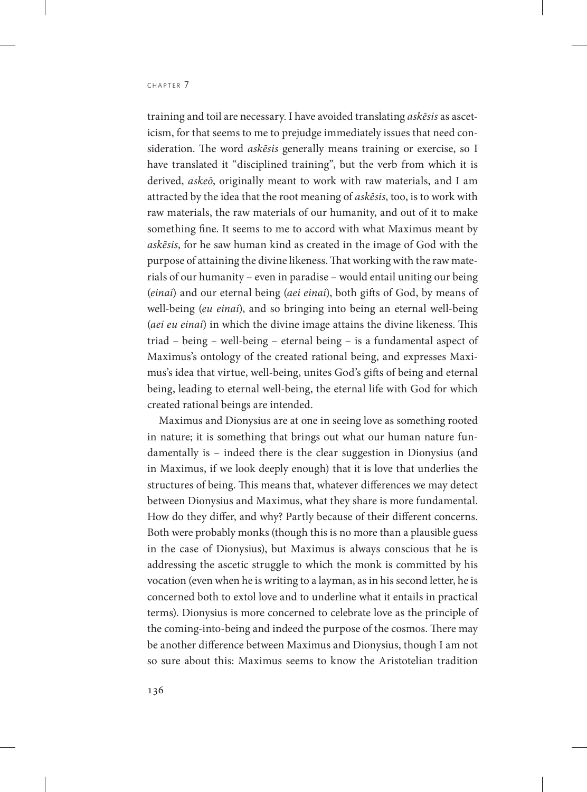training and toil are necessary. I have avoided translating *askēsis* as asceticism, for that seems to me to prejudge immediately issues that need consideration. The word *askēsis* generally means training or exercise, so I have translated it "disciplined training", but the verb from which it is derived, *askeō*, originally meant to work with raw materials, and I am attracted by the idea that the root meaning of *askēsis*, too, is to work with raw materials, the raw materials of our humanity, and out of it to make something fine. It seems to me to accord with what Maximus meant by *askēsis*, for he saw human kind as created in the image of God with the purpose of attaining the divine likeness. That working with the raw materials of our humanity – even in paradise – would entail uniting our being (*einai*) and our eternal being (*aei einai*), both gifts of God, by means of well-being (*eu einai*), and so bringing into being an eternal well-being (*aei eu einai*) in which the divine image attains the divine likeness. This triad – being – well-being – eternal being – is a fundamental aspect of Maximus's ontology of the created rational being, and expresses Maximus's idea that virtue, well-being, unites God's gifts of being and eternal being, leading to eternal well-being, the eternal life with God for which created rational beings are intended.

Maximus and Dionysius are at one in seeing love as something rooted in nature; it is something that brings out what our human nature fundamentally is – indeed there is the clear suggestion in Dionysius (and in Maximus, if we look deeply enough) that it is love that underlies the structures of being. This means that, whatever differences we may detect between Dionysius and Maximus, what they share is more fundamental. How do they differ, and why? Partly because of their different concerns. Both were probably monks (though this is no more than a plausible guess in the case of Dionysius), but Maximus is always conscious that he is addressing the ascetic struggle to which the monk is committed by his vocation (even when he is writing to a layman, as in his second letter, he is concerned both to extol love and to underline what it entails in practical terms). Dionysius is more concerned to celebrate love as the principle of the coming-into-being and indeed the purpose of the cosmos. There may be another difference between Maximus and Dionysius, though I am not so sure about this: Maximus seems to know the Aristotelian tradition